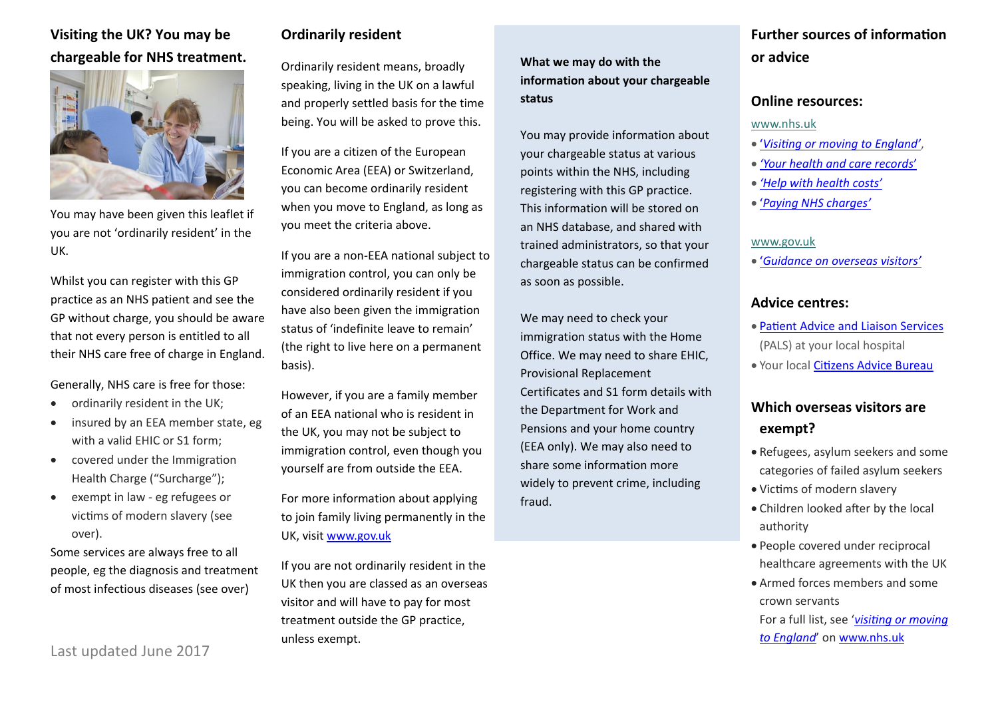# **Visiting the UK? You may be chargeable for NHS treatment.**



You may have been given this leaflet if you are not 'ordinarily resident' in the UK.

Whilst you can register with this GP practice as an NHS patient and see the GP without charge, you should be aware that not every person is entitled to all their NHS care free of charge in England.

Generally, NHS care is free for those:

- ordinarily resident in the UK;
- insured by an EEA member state, eg with a valid EHIC or S1 form;
- covered under the Immigration Health Charge ("Surcharge");
- exempt in law eg refugees or victims of modern slavery (see over).

Some services are always free to all people, eg the diagnosis and treatment of most infectious diseases (see over)

Last updated June 2017

### **Ordinarily resident**

Ordinarily resident means, broadly speaking, living in the UK on a lawful and properly settled basis for the time being. You will be asked to prove this.

If you are a citizen of the European Economic Area (EEA) or Switzerland, you can become ordinarily resident when you move to England, as long as you meet the criteria above.

If you are a non-EEA national subject to immigration control, you can only be considered ordinarily resident if you have also been given the immigration status of 'indefinite leave to remain' (the right to live here on a permanent basis).

However, if you are a family member of an EEA national who is resident in the UK, you may not be subject to immigration control, even though you yourself are from outside the EEA.

For more information about applying to join family living permanently in the UK, visit [www.gov.uk](http://www.gov.uk/)

If you are not ordinarily resident in the UK then you are classed as an overseas visitor and will have to pay for most treatment outside the GP practice, unless exempt.

**What we may do with the information about your chargeable status**

You may provide information about your chargeable status at various points within the NHS, including registering with this GP practice. This information will be stored on an NHS database, and shared with trained administrators, so that your chargeable status can be confirmed as soon as possible.

We may need to check your immigration status with the Home Office. We may need to share EHIC, Provisional Replacement Certificates and S1 form details with the Department for Work and Pensions and your home country (EEA only). We may also need to share some information more widely to prevent crime, including fraud.

# **Further sources of information or advice**

#### **Online resources:**

#### [www.nhs.uk](http://www.nhs.uk/)

- '*[Visiting or moving to England'](http://www.nhs.uk/NHSEngland/AboutNHSservices/uk-visitors/Pages/access-services-in-England.aspx)*,
- *['Your health and care records](http://www.nhs.uk/NHSEngland/thenhs/records/healthrecords/Pages/overview.aspx)*'
- *['Help with health costs'](http://www.nhs.uk/NHSEngland/Healthcosts/Pages/help-with-health-costs.aspx)*
- '*[Paying NHS charges'](http://www.nhs.uk/NHSEngland/Healthcosts/Pages/patient-co-payments.aspx)*

#### [www.gov.uk](http://www.gov.uk/)

'*[Guidance on overseas visitors'](https://www.gov.uk/government/publications/guidance-on-overseas-visitors-hospital-charging-regulations)*

### **Advice centres:**

- [Patient Advice and Liaison Services](http://www.nhs.uk/chq/Pages/1082.aspx?CategoryID=68) (PALS) at your local hospital
- Your local [Citizens Advice Bureau](https://www.citizensadvice.org.uk/)

# **Which overseas visitors are exempt?**

- Refugees, asylum seekers and some categories of failed asylum seekers
- Victims of modern slavery
- Children looked after by the local authority
- People covered under reciprocal healthcare agreements with the UK
- Armed forces members and some crown servants

For a full list, see '*[visiting or moving](http://www.nhs.uk/NHSEngland/AboutNHSservices/uk-visitors/visiting-england/Pages/categories-of-exemption.aspx)  [to England](http://www.nhs.uk/NHSEngland/AboutNHSservices/uk-visitors/visiting-england/Pages/categories-of-exemption.aspx)*' on [www.nhs.uk](http://www.nhs.uk/)